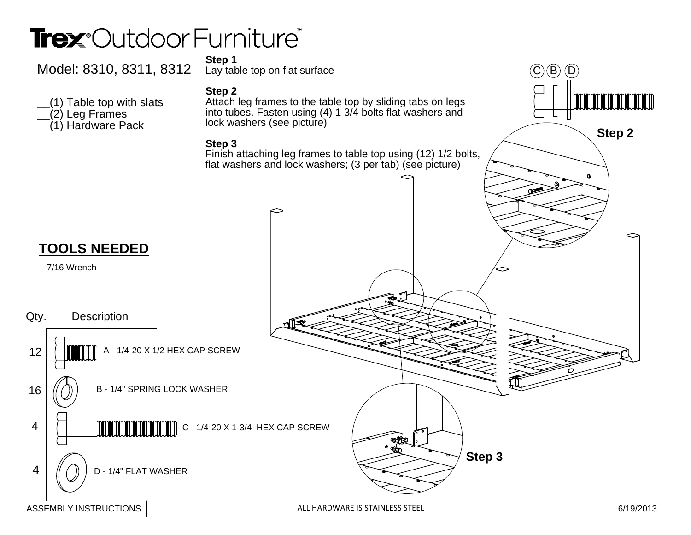## Trex<sup>®</sup>Outdoor Furniture®

ASSEMBLY INSTRUCTIONS



6/19/2013 ALL HARDWARE IS STAINLESS STEEL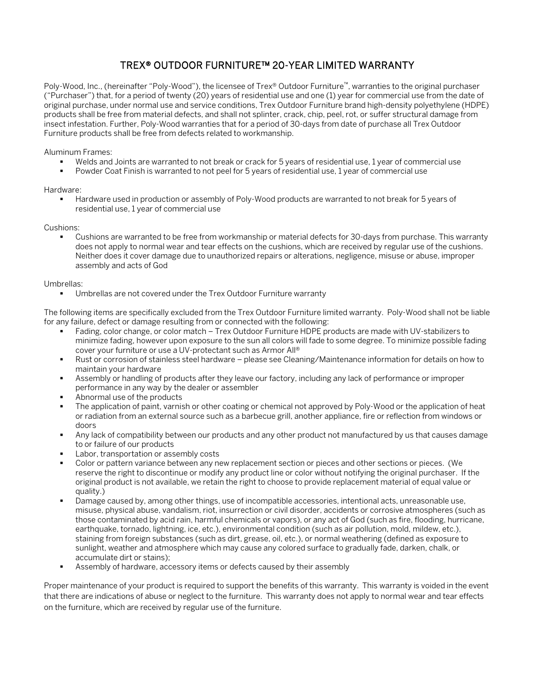## TREX® OUTDOOR FURNITURE™ 20-YEAR LIMITED WARRANTY

Poly-Wood, Inc., (hereinafter "Poly-Wood"), the licensee of Trex® Outdoor Furniture™, warranties to the original purchaser ("Purchaser") that, for a period of twenty (20) years of residential use and one (1) year for commercial use from the date of original purchase, under normal use and service conditions, Trex Outdoor Furniture brand high-density polyethylene (HDPE) products shall be free from material defects, and shall not splinter, crack, chip, peel, rot, or suffer structural damage from insect infestation. Further, Poly-Wood warranties that for a period of 30-days from date of purchase all Trex Outdoor Furniture products shall be free from defects related to workmanship.

Aluminum Frames:

- Welds and Joints are warranted to not break or crack for 5 years of residential use, 1 year of commercial use
- Powder Coat Finish is warranted to not peel for 5 years of residential use, 1 year of commercial use

Hardware:

 Hardware used in production or assembly of Poly-Wood products are warranted to not break for 5 years of residential use, 1 year of commercial use

Cushions:

 Cushions are warranted to be free from workmanship or material defects for 30-days from purchase. This warranty does not apply to normal wear and tear effects on the cushions, which are received by regular use of the cushions. Neither does it cover damage due to unauthorized repairs or alterations, negligence, misuse or abuse, improper assembly and acts of God

## Umbrellas:

Umbrellas are not covered under the Trex Outdoor Furniture warranty

The following items are specifically excluded from the Trex Outdoor Furniture limited warranty. Poly-Wood shall not be liable for any failure, defect or damage resulting from or connected with the following:

- Fading, color change, or color match Trex Outdoor Furniture HDPE products are made with UV-stabilizers to minimize fading, however upon exposure to the sun all colors will fade to some degree. To minimize possible fading cover your furniture or use a UV-protectant such as Armor All®
- Rust or corrosion of stainless steel hardware please see Cleaning/Maintenance information for details on how to maintain your hardware
- Assembly or handling of products after they leave our factory, including any lack of performance or improper performance in any way by the dealer or assembler
- Abnormal use of the products
- The application of paint, varnish or other coating or chemical not approved by Poly-Wood or the application of heat or radiation from an external source such as a barbecue grill, another appliance, fire or reflection from windows or doors
- Any lack of compatibility between our products and any other product not manufactured by us that causes damage to or failure of our products
- Labor, transportation or assembly costs
- Color or pattern variance between any new replacement section or pieces and other sections or pieces. (We reserve the right to discontinue or modify any product line or color without notifying the original purchaser. If the original product is not available, we retain the right to choose to provide replacement material of equal value or quality.)
- Damage caused by, among other things, use of incompatible accessories, intentional acts, unreasonable use, misuse, physical abuse, vandalism, riot, insurrection or civil disorder, accidents or corrosive atmospheres (such as those contaminated by acid rain, harmful chemicals or vapors), or any act of God (such as fire, flooding, hurricane, earthquake, tornado, lightning, ice, etc.), environmental condition (such as air pollution, mold, mildew, etc.), staining from foreign substances (such as dirt, grease, oil, etc.), or normal weathering (defined as exposure to sunlight, weather and atmosphere which may cause any colored surface to gradually fade, darken, chalk, or accumulate dirt or stains);
- Assembly of hardware, accessory items or defects caused by their assembly

Proper maintenance of your product is required to support the benefits of this warranty. This warranty is voided in the event that there are indications of abuse or neglect to the furniture. This warranty does not apply to normal wear and tear effects on the furniture, which are received by regular use of the furniture.